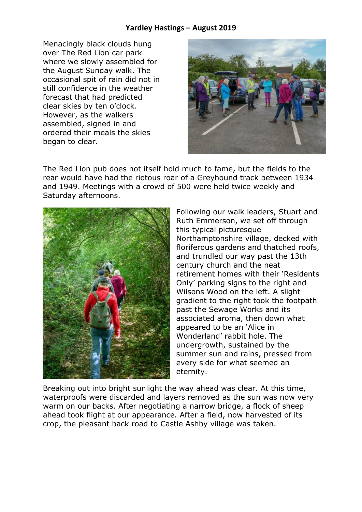## **Yardley Hastings – August 2019**

Menacingly black clouds hung over The Red Lion car park where we slowly assembled for the August Sunday walk. The occasional spit of rain did not in still confidence in the weather forecast that had predicted clear skies by ten o'clock. However, as the walkers assembled, signed in and ordered their meals the skies began to clear.



The Red Lion pub does not itself hold much to fame, but the fields to the rear would have had the riotous roar of a Greyhound track between 1934 and 1949. Meetings with a crowd of 500 were held twice weekly and Saturday afternoons.



Following our walk leaders, Stuart and Ruth Emmerson, we set off through this typical picturesque Northamptonshire village, decked with floriferous gardens and thatched roofs, and trundled our way past the 13th century church and the neat retirement homes with their 'Residents Only' parking signs to the right and Wilsons Wood on the left. A slight gradient to the right took the footpath past the Sewage Works and its associated aroma, then down what appeared to be an 'Alice in Wonderland' rabbit hole. The undergrowth, sustained by the summer sun and rains, pressed from every side for what seemed an eternity.

Breaking out into bright sunlight the way ahead was clear. At this time, waterproofs were discarded and layers removed as the sun was now very warm on our backs. After negotiating a narrow bridge, a flock of sheep ahead took flight at our appearance. After a field, now harvested of its crop, the pleasant back road to Castle Ashby village was taken.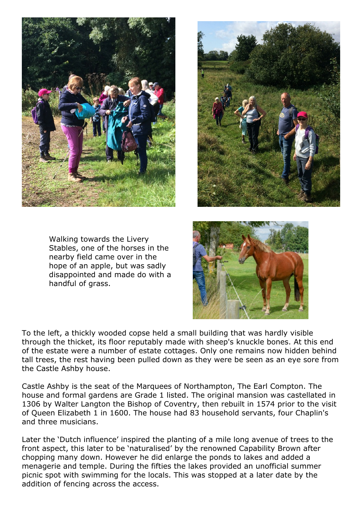



Walking towards the Livery Stables, one of the horses in the nearby field came over in the hope of an apple, but was sadly disappointed and made do with a handful of grass.



To the left, a thickly wooded copse held a small building that was hardly visible through the thicket, its floor reputably made with sheep's knuckle bones. At this end of the estate were a number of estate cottages. Only one remains now hidden behind tall trees, the rest having been pulled down as they were be seen as an eye sore from the Castle Ashby house.

Castle Ashby is the seat of the Marquees of Northampton, The Earl Compton. The house and formal gardens are Grade 1 listed. The original mansion was castellated in 1306 by Walter Langton the Bishop of Coventry, then rebuilt in 1574 prior to the visit of Queen Elizabeth 1 in 1600. The house had 83 household servants, four Chaplin's and three musicians.

Later the 'Dutch influence' inspired the planting of a mile long avenue of trees to the front aspect, this later to be 'naturalised' by the renowned Capability Brown after chopping many down. However he did enlarge the ponds to lakes and added a menagerie and temple. During the fifties the lakes provided an unofficial summer picnic spot with swimming for the locals. This was stopped at a later date by the addition of fencing across the access.